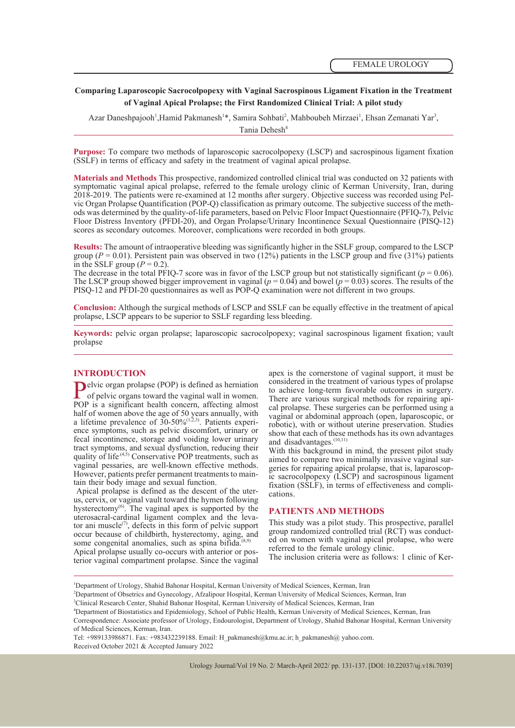# **Comparing Laparoscopic Sacrocolpopexy with Vaginal Sacrospinous Ligament Fixation in the Treatment of Vaginal Apical Prolapse; the First Randomized Clinical Trial: A pilot study**

Azar Daneshpajooh<sup>1</sup>, Hamid Pakmanesh<sup>1\*</sup>, Samira Sohbati<sup>2</sup>, Mahboubeh Mirzaei<sup>1</sup>, Ehsan Zemanati Yar<sup>3</sup>,

Tania Dehesh<sup>4</sup>

**Purpose:** To compare two methods of laparoscopic sacrocolpopexy (LSCP) and sacrospinous ligament fixation (SSLF) in terms of efficacy and safety in the treatment of vaginal apical prolapse.

**Materials and Methods** This prospective, randomized controlled clinical trial was conducted on 32 patients with symptomatic vaginal apical prolapse, referred to the female urology clinic of Kerman University, Iran, during 2018-2019. The patients were re-examined at 12 months after surgery. Objective success was recorded using Pelvic Organ Prolapse Quantification (POP-Q) classification as primary outcome. The subjective success of the methods was determined by the quality-of-life parameters, based on Pelvic Floor Impact Questionnaire (PFIQ-7), Pelv Floor Distress Inventory (PFDI-20), and Organ Prolapse/Urinary Incontinence Sexual Questionnaire (PISQ-12) scores as secondary outcomes. Moreover, complications were recorded in both groups.

**Results:** The amount of intraoperative bleeding was significantly higher in the SSLF group, compared to the LSCP group ( $P = 0.01$ ). Persistent pain was observed in two (12%) patients in the LSCP group and five (31%) patients in the SSLF group  $(P = 0.2)$ .

The decrease in the total PFIQ-7 score was in favor of the LSCP group but not statistically significant ( $p = 0.06$ ). The LSCP group showed bigger improvement in vaginal  $(p = 0.04)$  and bowel  $(p = 0.03)$  scores. The results of the PISQ-12 and PFDI-20 questionnaires as well as POP-Q examination were not different in two groups.

**Conclusion:** Although the surgical methods of LSCP and SSLF can be equally effective in the treatment of apical prolapse, LSCP appears to be superior to SSLF regarding less bleeding.

**Keywords:** pelvic organ prolapse; laparoscopic sacrocolpopexy; vaginal sacrospinous ligament fixation; vault prolapse

# **INTRODUCTION**

**Pelvic organ prolapse (POP) is defined as herniation** of pelvic organs toward the vaginal wall in women. POP is a significant health concern, affecting almost half of women above the age of 50 years annually, with a lifetime prevalence of  $30-50\%^{(1,2,3)}$ . Patients experience symptoms, such as pelvic discomfort, urinary or fecal incontinence, storage and voiding lower urinary tract symptoms, and sexual dysfunction, reducing their quality of life<sup> $(4,5)$ </sup> Conservative POP treatments, such as vaginal pessaries, are well-known effective methods. However, patients prefer permanent treatments to main-<br>tain their body image and sexual function.<br>Apical prolapse is defined as the descent of the uter-

Apical prolapse is defined as the descent of the uter-<br>us, cervix, or vaginal vault toward the hymen following hysterectomy<sup>(6)</sup>. The vaginal apex is supported by the uterosacral-cardinal ligament complex and the leva-<br>tor ani muscle<sup>(7)</sup>, defects in this form of pelvic support occur because of childbirth, hysterectomy, aging, and some congenital anomalies, such as spina bifida.

Apical prolapse usually co-occurs with anterior or pos- terior vaginal compartment prolapse. Since the vaginal

apex is the cornerstone of vaginal support, it must be considered in the treatment of various types of prolapse to achieve long-term favorable outcomes in surgery. There are various surgical methods for repairing api- cal prolapse. These surgeries can be performed using a vaginal or abdominal approach (open, laparoscopic, or robotic), with or without uterine preservation. Studies show that each of these methods has its own advantages and disadvantages.<sup>(10,11)</sup>

With this background in mind, the present pilot study aimed to compare two minimally invasive vaginal surgeries for repairing apical prolapse, that is, laparoscop-<br>ic sacrocolpopexy (LSCP) and sacrospinous ligament fixation (SSLF), in terms of effectiveness and compli- cations.

#### **PATIENTS AND METHODS**

This study was a pilot study. This prospective, parallel group randomized controlled trial (RCT) was conducted on women with vaginal apical prolapse, who were referred to the female urology clinic.

The inclusion criteria were as follows: 1 clinic of Ker-

2 Department of Obsetrics and Gynecology, Afzalipour Hospital, Kerman University of Medical Sciences, Kerman, Iran

<sup>1</sup> Department of Urology, Shahid Bahonar Hospital, Kerman University of Medical Sciences, Kerman, Iran

<sup>3</sup> Clinical Research Center, Shahid Bahonar Hospital, Kerman University of Medical Sciences, Kerman, Iran

<sup>4</sup> Department of Biostatistics and Epidemiology, School of Public Health, Kerman University of Medical Sciences, Kerman, Iran

Correspondence: Associate professor of Urology, Endourologist, Department of Urology, Shahid Bahonar Hospital, Kerman University of Medical Sciences, Kerman, Iran.

Tel: +989133986871. Fax: +983432239188. Email: H\_pakmanesh@kmu.ac.ir; h\_pakmanesh@ yahoo.com. Received October 2021 & Accepted January 2022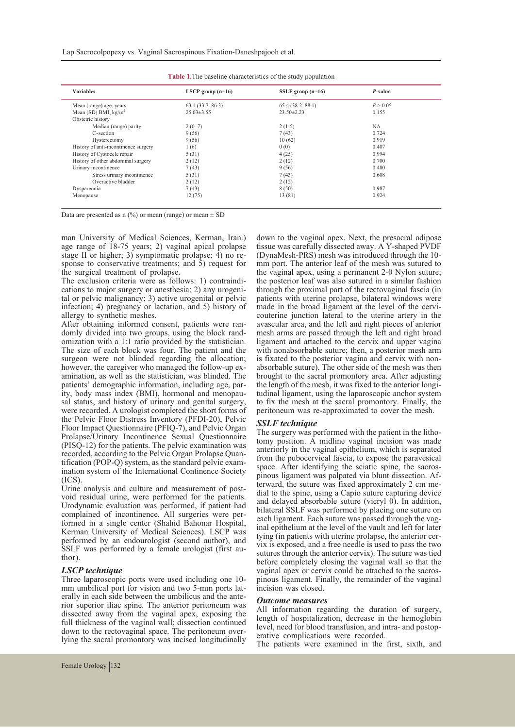| <b>Variables</b>                     | LSCP group $(n=16)$ | SSLF group $(n=16)$ | P-value  |  |
|--------------------------------------|---------------------|---------------------|----------|--|
| Mean (range) age, years              | 63.1(33.7–86.3)     | $65.4(38.2 - 88.1)$ | P > 0.05 |  |
| Mean (SD) BMI, $kg/m2$               | $25.03 \pm 3.55$    | $23.50 \pm 2.23$    | 0.155    |  |
| Obstetric history                    |                     |                     |          |  |
| Median (range) parity                | $2(0-7)$            | $2(1-5)$            | NA.      |  |
| C-section                            | 9(56)               | 7(43)               | 0.724    |  |
| Hysterectomy                         | 9(56)               | 10(62)              | 0.919    |  |
| History of anti-incontinence surgery | 1(6)                | 0(0)                | 0.407    |  |
| History of Cystocele repair          | 5(31)               | 4(25)               | 0.994    |  |
| History of other abdominal surgery   | 2(12)               | 2(12)               | 0.700    |  |
| Urinary incontinence                 | 7(43)               | 9(56)               | 0.480    |  |
| Stress urinary incontinence          | 5(31)               | 7(43)               | 0.608    |  |
| Overactive bladder                   | 2(12)               | 2(12)               |          |  |
| Dyspareunia                          | 7(43)               | 8(50)               | 0.987    |  |
| Menopause                            | 12(75)              | 13 (81)             | 0.924    |  |

| <b>Table 1.</b> The baseline characteristics of the study population |  |  |  |
|----------------------------------------------------------------------|--|--|--|
|----------------------------------------------------------------------|--|--|--|

Data are presented as  $n$  (%) or mean (range) or mean  $\pm$  SD

man University of Medical Sciences, Kerman, Iran.) age range of 18-75 years; 2) vaginal apical prolapse stage II or higher; 3) symptomatic prolapse;  $\hat{4}$ ) no re-sponse to conservative treatments; and 5) request for the surgical treatment of prolapse.<br>The exclusion criteria were as follows: 1) contraindi-

cations to major surgery or anesthesia; 2) any urogenital or pelvic malignancy; 3) active urogenital or pelvic infection; 4) pregnancy or lactation, and 5) history of allergy to synthetic meshes.<br>After obtaining informed consent, patients were ran-

domly divided into two groups, using the block rand- omization with a 1:1 ratio provided by the statistician. The size of each block was four. The patient and the surgeon were not blinded regarding the allocation; however, the caregiver who managed the follow-up ex-<br>amination, as well as the statistician, was blinded. The<br>patients' demographic information, including age, parity, body mass index (BMI), hormonal and menopau-sal status, and history of urinary and genital surgery, were recorded. A urologist completed the short forms of the Pelvic Floor Distress Inventory (PFDI-20), Pelvic Floor Impact Questionnaire (PFIQ-7), and Pelvic Organ Prolapse/Urinary Incontinence Sexual Questionnaire (PISQ-12) for the patients. The pelvic examination was recorded, according to the Pelvic Organ Prolapse Ouantification (POP-Q) system, as the standard pelvic examination system of the International Continence Society (ICS).

Urine analysis and culture and measurement of postvoid residual urine, were performed for the patients. Urodynamic evaluation was performed, if patient had complained of incontinence. All surgeries were per- formed in a single center (Shahid Bahonar Hospital, Kerman University of Medical Sciences). LSCP was performed by an endourologist (second author), and SSLF was performed by a female urologist (first au- thor).

# *LSCP technique*

Three laparoscopic ports were used including one 10 mm umbilical port for vision and two 5-mm ports laterally in each side between the umbilicus and the ante-<br>rior superior iliac spine. The anterior peritoneum was dissected away from the vaginal apex, exposing the full thickness of the vaginal wall; dissection continued down to the rectovaginal space. The peritoneum overlying the sacral promontory was incised longitudinally down to the vaginal apex. Next, the presacral adipose tissue was carefully dissected away. A Y-shaped PVDF (DynaMesh-PRS) mesh was introduced through the 10 mm port. The anterior leaf of the mesh was sutured to the vaginal apex, using a permanent 2-0 Nylon suture; the posterior leaf was also sutured in a similar fashion through the proximal part of the rectovaginal fascia (in patients with uterine prolapse, bilateral windows were made in the broad ligament at the level of the cervi- couterine junction lateral to the uterine artery in the avascular area, and the left and right pieces of anterior mesh arms are passed through the left and right broad ligament and attached to the cervix and upper vagina with nonabsorbable suture; then, a posterior mesh arm is fixated to the posterior vagina and cervix with nonabsorbable suture). The other side of the mesh was then brought to the sacral promontory area. After adjusting tudinal ligament, using the laparoscopic anchor system to fix the mesh at the sacral promontory. Finally, the peritoneum was re-approximated to cover the mesh.

#### *SSLF technique*

The surgery was performed with the patient in the litho- tomy position. A midline vaginal incision was made anteriorly in the vaginal epithelium, which is separated from the pubocervical fascia, to expose the paravesical space. After identifying the sciatic spine, the sacros-<br>pinous ligament was palpated via blunt dissection. Af-<br>terward, the suture was fixed approximately 2 cm me-<br>dial to the spine, using a Capio suture capturing device and delayed absorbable suture (vicryl 0). In addition, bilateral SSLF was performed by placing one suture on each ligament. Each suture was passed through the vaginal epithelium at the level of the vault and left for later tying (in patients with uterine prolapse, the anterior cervix is exposed, and a free needle is used to pass the two sutures through the anterior cervix). The suture was tied before completely closing the vaginal wall so that the vaginal apex or cervix could be attached to the sacrospinous ligament. Finally, the remainder of the vaginal incision was closed.

#### *Outcome measures*

All information regarding the duration of surgery, length of hospitalization, decrease in the hemoglobin level, need for blood transfusion, and intra- and postop- erative complications were recorded.

The patients were examined in the first, sixth, and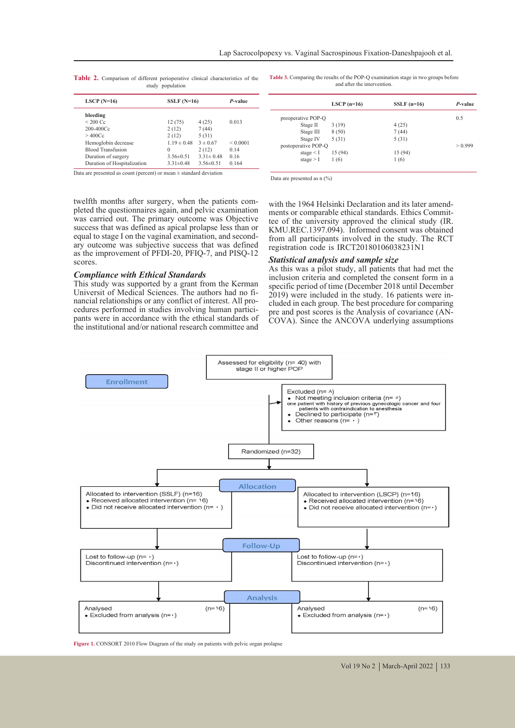| LSCP $(N=16)$                                                                                                  |                 | $SSLF(N=16)$    |               |  |
|----------------------------------------------------------------------------------------------------------------|-----------------|-----------------|---------------|--|
| bleeding                                                                                                       |                 |                 |               |  |
| $\leq$ 200 Cc                                                                                                  | 12(75)          | 4(25)           | 0.013         |  |
| $200 - 400$ Cc                                                                                                 | 2(12)           | 7(44)           |               |  |
| >400Cc                                                                                                         | 2(12)           | 5(31)           |               |  |
| Hemoglobin decrease                                                                                            | $1.19 \pm 0.48$ | $3 \pm 0.67$    | ${}_{0.0001}$ |  |
| <b>Blood Transfusion</b>                                                                                       | 0               | 2(12)           | 0.14          |  |
| Duration of surgery                                                                                            | $3.56 \pm 0.51$ | $3.31 \pm 0.48$ | 0.16          |  |
| Duration of Hospitalization                                                                                    | $3.31 \pm 0.48$ | $3.56 \pm 0.51$ | 0.164         |  |
| المتواطن والمسترين والمستقيدات المستحدث والمستنقص والمستند والمستنقص والمستنقص والمستقيد والمستقيدة والمستقيدة |                 |                 |               |  |

**Table 2.** Comparison of different perioperative clinical characteristics of the study population

**Table 3.** Comparing the results of the POP-Q examination stage in two groups before and after the intervention.

|                     | LSCP $(n=16)$ | $SSLF$ (n=16) | P-value |
|---------------------|---------------|---------------|---------|
| preoperative POP-Q  |               |               | 0.5     |
| Stage II            | 3(19)         | 4(25)         |         |
| Stage III           | 8(50)         | 7(44)         |         |
| Stage IV            | 5(31)         | 5(31)         |         |
| postoperative POP-Q |               |               | > 0.999 |
| stage $\leq$ I      | 15 (94)       | 15 (94)       |         |
| stage $>$ I         | 1(6)          | 1(6)          |         |

Data are presented as count (percent) or mean  $\pm$  standard deviation

Data are presented as n  $(%)$ 

twelfth months after surgery, when the patients com- pleted the questionnaires again, and pelvic examination was carried out. The primary outcome was Objective success that was defined as apical prolapse less than or equal to stage I on the vaginal examination, and second- ary outcome was subjective success that was defined as the improvement of PFDI-20, PFIQ-7, and PISQ-12 scores.

### *Compliance with Ethical Standards*

This study was supported by a grant from the Kerman nancial relationships or any conflict of interest. All pro-<br>cedures performed in studies involving human partici-<br>pants were in accordance with the ethical standards of the institutional and/or national research committee and

with the 1964 Helsinki Declaration and its later amend-<br>ments or comparable ethical standards. Ethics Commit-<br>tee of the university approved the clinical study (IR. KMU.REC.1397.094). Informed consent was obtained from all participants involved in the study. The RCT registration code is IRCT20180106038231N1

### *Statistical analysis and sample size*

As this was a pilot study, all patients that had met the inclusion criteria and completed the consent form in a specific period of time (December 2018 until December 2019) were included in the study. 16 patients were included in each group. The best procedure for comparing pre and post scores is the Analysis of covariance (AN-COVA). Since the ANCOVA underlying assumptions



**Figure 1.** CONSORT 2010 Flow Diagram of the study on patients with pelvic organ prolapse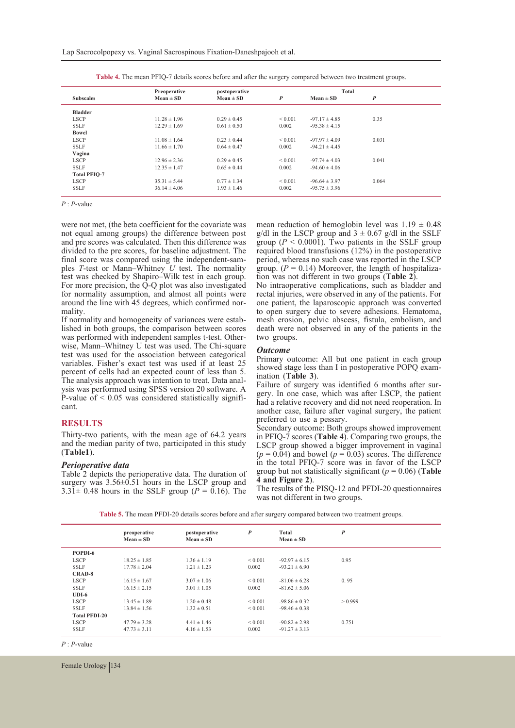|                     | Preoperative<br>postoperative |                 | Total        |                   |       |  |
|---------------------|-------------------------------|-----------------|--------------|-------------------|-------|--|
| <b>Subscales</b>    | $Mean \pm SD$                 | $Mean \pm SD$   | P            | $Mean \pm SD$     | P     |  |
| <b>Bladder</b>      |                               |                 |              |                   |       |  |
| <b>LSCP</b>         | $11.28 \pm 1.96$              | $0.29 \pm 0.45$ | ${}_{0.001}$ | $-97.17 \pm 4.85$ | 0.35  |  |
| <b>SSLF</b>         | $12.29 \pm 1.69$              | $0.61 \pm 0.50$ | 0.002        | $-95.38 \pm 4.15$ |       |  |
| Bowel               |                               |                 |              |                   |       |  |
| <b>LSCP</b>         | $11.08 \pm 1.64$              | $0.23 \pm 0.44$ | ${}_{0.001}$ | $-97.97 \pm 4.09$ | 0.031 |  |
| <b>SSLF</b>         | $11.66 \pm 1.70$              | $0.64 \pm 0.47$ | 0.002        | $-94.21 \pm 4.45$ |       |  |
| Vagina              |                               |                 |              |                   |       |  |
| <b>LSCP</b>         | $12.96 \pm 2.36$              | $0.29 \pm 0.45$ | ${}_{0.001}$ | $-97.74 \pm 4.03$ | 0.041 |  |
| <b>SSLF</b>         | $12.35 \pm 1.47$              | $0.65 \pm 0.44$ | 0.002        | $-94.60 \pm 4.06$ |       |  |
| <b>Total PFIO-7</b> |                               |                 |              |                   |       |  |
| <b>LSCP</b>         | $35.31 \pm 5.44$              | $0.77 \pm 1.34$ | ${}_{0.001}$ | $-96.64 \pm 3.97$ | 0.064 |  |
| <b>SSLF</b>         | $36.14 \pm 4.06$              | $1.93 \pm 1.46$ | 0.002        | $-95.75 \pm 3.96$ |       |  |

**Table 4.** The mean PFIQ-7 details scores before and after the surgery compared between two treatment groups.

*P* : *P*-value

were not met, (the beta coefficient for the covariate was not equal among groups) the difference between post and pre scores was calculated. Then this difference was divided to the pre scores, for baseline adjustment. The final score was compared using the independent-samples T-test or Mann–Whitney *U* test. The normality test was checked by Shapiro–Wilk test in each group. For more precision, the Q-Q plot was also investigated for normality assumption, and almost all points were around the line with 45 degrees, which confirmed nor-<br>mality.<br>If normality and homogeneity of variances were estab-

lished in both groups, the comparison between scores was performed with independent samples t-test. Otherwise, Mann–Whitney U test was used. The Chi-square test was used for the association between categorical variables. Fisher's exact test was used if at least 25 percent of cells had an expected count of less than 5. ysis was performed using SPSS version 20 software. A P-value  $of < 0.05$  was considered statistically significant.

## **RESULTS**

Thirty-two patients, with the mean age of 64.2 years and the median parity of two, participated in this study (**Table1**).

#### *Perioperative data*

Table 2 depicts the perioperative data. The duration of surgery was  $3.56\pm0.51$  hours in the LSCP group and  $3.31 \pm 0.48$  hours in the SSLF group ( $P = 0.16$ ). The mean reduction of hemoglobin level was  $1.19 \pm 0.48$ g/dl in the LSCP group and  $3 \pm 0.67$  g/dl in the SSLF group  $(P \le 0.0001)$ . Two patients in the SSLF group required blood transfusions (12%) in the postoperative period, whereas no such case was reported in the LSCP group.  $(P = 0.14)$  Moreover, the length of hospitalization was not different in two groups (**Table 2**).

No intraoperative complications, such as bladder and rectal injuries, were observed in any of the patients. For one patient, the laparoscopic approach was converted to open surgery due to severe adhesions. Hematoma, mesh erosion, pelvic abscess, fistula, embolism, and death were not observed in any of the patients in the two groups.

## *Outcome*

Primary outcome: All but one patient in each group showed stage less than I in postoperative POPQ exam- ination (**Table 3**).

Failure of surgery was identified 6 months after surgery. In one case, which was after LSCP, the patient had a relative recovery and did not need reoperation. In another case, failure after vaginal surgery, the patient preferred to use a pessary.

Secondary outcome: Both groups showed improvement in PFIQ-7 scores (**Table 4**). Comparing two groups, the LSCP group showed a bigger improvement in vaginal  $(p = 0.04)$  and bowel  $(p = 0.03)$  scores. The difference in the total PFIQ-7 score was in favor of the LSCP group but not statistically significant ( $p = 0.06$ ) (**Table 4 and Figure 2**).

The results of the PISQ-12 and PFDI-20 questionnaires was not different in two groups.

| Table 5. The mean PFDI-20 details scores before and after surgery compared between two treatment groups. |  |
|----------------------------------------------------------------------------------------------------------|--|
|----------------------------------------------------------------------------------------------------------|--|

|                      | preoperative<br>$Mean \pm SD$ | postoperative<br>$Mean \pm SD$ | $\boldsymbol{P}$ | Total<br>$Mean \pm SD$ | $\boldsymbol{P}$ |
|----------------------|-------------------------------|--------------------------------|------------------|------------------------|------------------|
| POPDI-6              |                               |                                |                  |                        |                  |
| <b>LSCP</b>          | $18.25 \pm 1.85$              | $1.36 \pm 1.19$                | ${}_{0.001}$     | $-92.97 \pm 6.15$      | 0.95             |
| <b>SSLF</b>          | $17.78 \pm 2.04$              | $1.21 \pm 1.23$                | 0.002            | $-93.21 \pm 6.90$      |                  |
| <b>CRAD-8</b>        |                               |                                |                  |                        |                  |
| <b>LSCP</b>          | $16.15 \pm 1.67$              | $3.07 \pm 1.06$                | ${}_{0.001}$     | $-81.06 \pm 6.28$      | 0.95             |
| <b>SSLF</b>          | $16.15 \pm 2.15$              | $3.01 \pm 1.05$                | 0.002            | $-81.62 \pm 5.06$      |                  |
| $UDI-6$              |                               |                                |                  |                        |                  |
| <b>LSCP</b>          | $13.45 \pm 1.89$              | $1.20 \pm 0.48$                | ${}_{0.001}$     | $-98.86 \pm 0.32$      | > 0.999          |
| <b>SSLF</b>          | $13.84 \pm 1.56$              | $1.32 \pm 0.51$                | ${}_{0.001}$     | $-98.46 \pm 0.38$      |                  |
| <b>Total PFDI-20</b> |                               |                                |                  |                        |                  |
| <b>LSCP</b>          | $47.79 \pm 3.28$              | $4.41 \pm 1.46$                | ${}_{0.001}$     | $-90.82 \pm 2.98$      | 0.751            |
| <b>SSLF</b>          | $47.73 \pm 3.11$              | $4.16 \pm 1.53$                | 0.002            | $-91.27 \pm 3.13$      |                  |

*P* : *P*-value

Female Urology | 134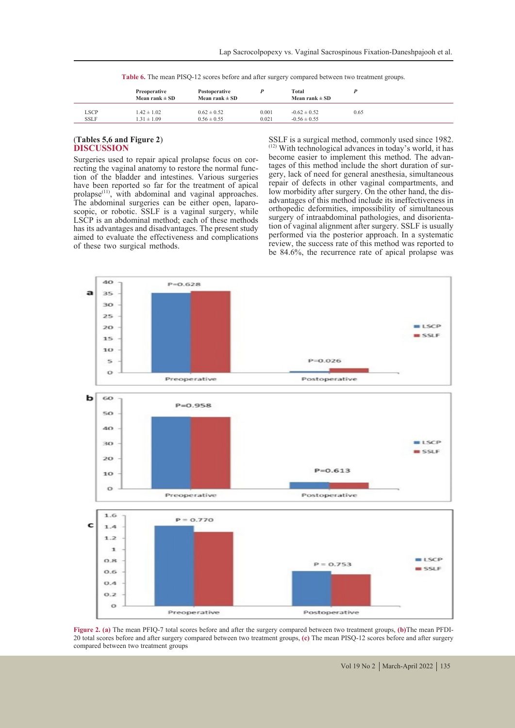**Table 6.** The mean PISQ-12 scores before and after surgery compared between two treatment groups.

|                            | Preoperative<br>Mean rank $\pm$ SD | Postoperative<br>Mean rank $\pm$ SD |                | Total<br>Mean rank $\pm$ SD          |      |  |
|----------------------------|------------------------------------|-------------------------------------|----------------|--------------------------------------|------|--|
| <b>LSCP</b><br><b>SSLF</b> | $1.42 \pm 1.02$<br>$1.31 \pm 1.09$ | $0.62 \pm 0.52$<br>$0.56 \pm 0.55$  | 0.001<br>0.021 | $-0.62 \pm 0.52$<br>$-0.56 \pm 0.55$ | 0.65 |  |

## (**Tables 5,6 and Figure 2**) **DISCUSSION**

Surgeries used to repair apical prolapse focus on correcting the vaginal anatomy to restore the normal function of the bladder and intestines. Various surgeries have been reported so far for the treatment of apical prolapse<sup>(11)</sup>, with abdominal and vaginal approaches.<br>The abdominal surgeries can be either open, laparoscopic, or robotic. SSLF is a vaginal surgery, while LSCP is an abdominal method; each of these methods has its advantages and disadvantages. The present study aimed to evaluate the effectiveness and complications of these two surgical methods.

SSLF is a surgical method, commonly used since 1982.  $(12)$  With technological advances in today's world, it has become easier to implement this method. The advantages of this method include the short duration of sur-<br>gery, lack of need for general anesthesia, simultaneous repair of defects in other vaginal compartments, and low morbidity after surgery. On the other hand, the dis- advantages of this method include its ineffectiveness in orthopedic deformities, impossibility of simultaneous tion of vaginal alignment after surgery. SSLF is usually performed via the posterior approach. In a systematic review, the success rate of this method was reported to be 84.6%, the recurrence rate of apical prolapse was



**Figure 2. (a)** The mean PFIQ-7 total scores before and after the surgery compared between two treatment groups, **(b)**The mean PFDI-20 total scores before and after surgery compared between two treatment groups, **(c)** The mean PISQ-12 scores before and after surgery compared between two treatment groups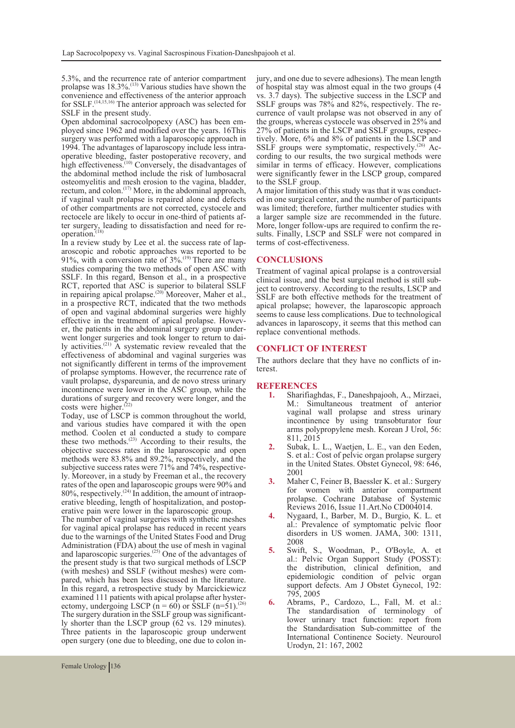5.3%, and the recurrence rate of anterior compartment prolapse was  $18.3\%$ .<sup>(13)</sup> Various studies have shown the convenience and effectiveness of the anterior approach for  $SSLF$ .<sup>(14,15,16)</sup> The anterior approach was selected for SSLF in the present study.

Open abdominal sacrocolpopexy (ASC) has been em- ployed since 1962 and modified over the years. 16This surgery was performed with a laparoscopic approach in 1994. The advantages of laparoscopy include less intra-1994. The advantages of laparoscopy include less intra-<br>operative bleeding, faster postoperative recovery, and high effectiveness.<sup>(10)</sup> Conversely, the disadvantages of the abdominal method include the risk of lumbosacral osteomyelitis and mesh erosion to the vagina, bladder, rectum, and colon.<sup>(17)</sup> More, in the abdominal approach, if vaginal vault prolapse is repaired alone and defects of other compartments are not corrected, cystocele and ter surgery, leading to dissatisfaction and need for re-<br>operation.<sup>(18)</sup> a review study by Lee et al. the success rate of lap-

aroscopic and robotic approaches was reported to be 91%, with a conversion rate of  $3\%$ .<sup>(19)</sup> There are many studies comparing the two methods of open ASC with SSLF. In this regard, Benson et al., in a prospective RCT, reported that ASC is superior to bilateral SSLF in repairing apical prolapse.<sup>(20)</sup> Moreover, Maher et al., in a prospective RCT, indicated that the two methods of open and vaginal abdominal surgeries were highly er, the patients in the abdominal surgery group under-<br>went longer surgeries and took longer to return to dai-<br>ly activities.<sup>(21)</sup> A systematic review revealed that the effectiveness of abdominal and vaginal surgeries was not significantly different in terms of the improvement of prolapse symptoms. However, the recurrence rate of vault prolapse, dyspareunia, and de novo stress urinary incontinence were lower in the ASC group, while the durations of surgery and recovery were longer, and the costs were higher.<sup> $(22)$ </sup>

Today, use of LSCP is common throughout the world, and various studies have compared it with the open method. Coolen et al conducted a study to compare these two methods. $(23)$  According to their results, the objective success rates in the laparoscopic and open methods were 83.8% and 89.2%, respectively, and the subjective success rates were 71% and 74%, respectivelv. Moreover, in a study by Freeman et al., the recovery rates of the open and laparoscopic groups were 90% and 80%, respectively.<sup> $(24)$ </sup> In addition, the amount of intraoperative bleeding, length of hospitalization, and postoperative pain were lower in the laparoscopic group.

The number of vaginal surgeries with synthetic meshes for vaginal apical prolapse has reduced in recent years due to the warnings of the United States Food and Drug Administration (FDA) about the use of mesh in vaginal and laparoscopic surgeries.(25) One of the advantages of the present study is that two surgical methods of LSCP (with meshes) and SSLF (without meshes) were com- pared, which has been less discussed in the literature. In this regard, a retrospective study by Marcickiewicz examined 111 patients with apical prolapse after hysterectomy, undergoing LSCP ( $n = 60$ ) or SSLF (n=51).<sup>(26)</sup> The surgery duration in the SSLF group was significant-<br>ly shorter than the LSCP group (62 vs. 129 minutes). Three patients in the laparoscopic group underwent open surgery (one due to bleeding, one due to colon injury, and one due to severe adhesions). The mean length of hospital stay was almost equal in the two groups (4 vs. 3.7 days). The subjective success in the LSCP and currence of vault prolapse was not observed in any of the groups, whereas cystocele was observed in 25% and 27% of patients in the LSCP and SSLF groups, respectively. More, 6% and 8% of patients in the LSCP and SSLF groups were symptomatic, respectively.<sup> $(26)$ </sup> According to our results, the two surgical methods were similar in terms of efficacy. However, complications were significantly fewer in the LSCP group, compared

to the SSLF group.<br>A major limitation of this study was that it was conducted in one surgical center, and the number of participants was limited; therefore, further multicenter studies with a larger sample size are recommended in the future. sults. Finally, LSCP and SSLF were not compared in terms of cost-effectiveness.

# **CONCLUSIONS**

Treatment of vaginal apical prolapse is a controversial ject to controversy. According to the results, LSCP and SSLF are both effective methods for the treatment of apical prolapse; however, the laparoscopic approach seems to cause less complications. Due to technological advances in laparoscopy, it seems that this method can replace conventional methods.

#### **CONFLICT OF INTEREST**

The authors declare that they have no conflicts of in- terest.

# **REFERENCES**<br>1. Sharifiag

- **1.** Sharifiaghdas, F., Daneshpajooh, A., Mirzaei, M.: Simultaneous treatment of anterior vaginal wall prolapse and stress urinary incontinence by using transobturator four arms polypropylene mesh. Korean J Urol, 56: 811, 2015
- **2.** Subak, L. L., Waetjen, L. E., van den Eeden, S. et al.: Cost of pelvic organ prolapse surgery in the United States. Obstet Gynecol, 98: 646, 2001
- **3.** Maher C, Feiner B, Baessler K. et al.: Surgery for women with anterior compartment prolapse. Cochrane Database of Systemic Reviews 2016, Issue 11.Art.No CD004014.
- **4.** Nygaard, I., Barber, M. D., Burgio, K. L. et al.: Prevalence of symptomatic pelvic floor disorders in US women. JAMA, 300: 1311, 2008
- **5.** Swift, S., Woodman, P., O'Boyle, A. et al.: Pelvic Organ Support Study (POSST): the distribution, clinical definition, and epidemiologic condition of pelvic organ support defects. Am J Obstet Gynecol, 192: 795, 2005
- **6.** Abrams, P., Cardozo, L., Fall, M. et al.: The standardisation of terminology of lower urinary tract function: report from the Standardisation Sub-committee of the International Continence Society. Neurourol Urodyn, 21: 167, 2002